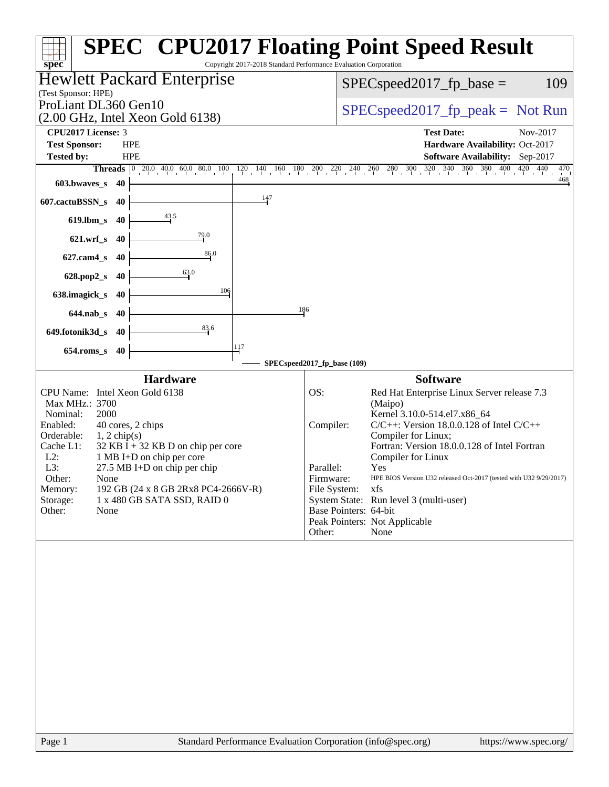| Copyright 2017-2018 Standard Performance Evaluation Corporation<br>spec <sup>®</sup><br><b>Hewlett Packard Enterprise</b><br>$SPEC speed2017_fp\_base =$<br>(Test Sponsor: HPE)<br>ProLiant DL360 Gen10<br>(2.00 GHz, Intel Xeon Gold 6138)<br>CPU2017 License: 3<br><b>Test Date:</b><br><b>Test Sponsor:</b><br><b>HPE</b><br><b>Tested by:</b><br><b>HPE</b><br>Software Availability: Sep-2017<br>Threads 0 20.0 40.0 60.0 80.0 100 120 140 160 180 200 220 240 260 280 300 320 340 360 380 400 420 440<br>$603.bwaves$ $40$<br>$\frac{147}{ }$<br>607.cactuBSSN_s<br>40<br>$\frac{43.5}{4}$<br>619.lbm_s 40<br>$\frac{79.0}{4}$<br>621.wrf_s 40<br>86.0<br>627.cam4_s<br>- 40<br>63.0<br>628.pop2_s<br>- 40<br>106<br>638.imagick_s<br>40<br>186<br>644.nab s 40<br>$\frac{83.6}{4}$<br>649.fotonik3d_s 40<br>117<br>$654$ .roms_s<br>40<br>SPECspeed2017_fp_base (109)<br><b>Hardware</b><br><b>Software</b><br>CPU Name: Intel Xeon Gold 6138<br>OS:<br>Red Hat Enterprise Linux Server release 7.3<br>Max MHz.: 3700<br>(Maipo)<br>Kernel 3.10.0-514.el7.x86 64<br>Nominal:<br>2000<br>Enabled:<br>$C/C++$ : Version 18.0.0.128 of Intel $C/C++$<br>40 cores, 2 chips<br>Compiler:<br>Compiler for Linux;<br>Orderable:<br>$1, 2$ chip(s)<br>$32$ KB I + 32 KB D on chip per core<br>Fortran: Version 18.0.0.128 of Intel Fortran<br>Cache L1:<br>$L2$ :<br>1 MB I+D on chip per core<br>Compiler for Linux<br>27.5 MB I+D on chip per chip<br>L3:<br>Parallel:<br>Yes<br>Other:<br>None<br>Firmware:<br>192 GB (24 x 8 GB 2Rx8 PC4-2666V-R)<br>File System:<br>Memory:<br>xfs<br>System State: Run level 3 (multi-user)<br>Storage:<br>1 x 480 GB SATA SSD, RAID 0<br>Base Pointers: 64-bit<br>Other:<br>None<br>Peak Pointers: Not Applicable<br>Other:<br>None | <b>SPEC<sup>®</sup> CPU2017 Floating Point Speed Result</b>        |
|---------------------------------------------------------------------------------------------------------------------------------------------------------------------------------------------------------------------------------------------------------------------------------------------------------------------------------------------------------------------------------------------------------------------------------------------------------------------------------------------------------------------------------------------------------------------------------------------------------------------------------------------------------------------------------------------------------------------------------------------------------------------------------------------------------------------------------------------------------------------------------------------------------------------------------------------------------------------------------------------------------------------------------------------------------------------------------------------------------------------------------------------------------------------------------------------------------------------------------------------------------------------------------------------------------------------------------------------------------------------------------------------------------------------------------------------------------------------------------------------------------------------------------------------------------------------------------------------------------------------------------------------------------------------------------------------------------------------------------------------------------------------------|--------------------------------------------------------------------|
|                                                                                                                                                                                                                                                                                                                                                                                                                                                                                                                                                                                                                                                                                                                                                                                                                                                                                                                                                                                                                                                                                                                                                                                                                                                                                                                                                                                                                                                                                                                                                                                                                                                                                                                                                                           | 109                                                                |
|                                                                                                                                                                                                                                                                                                                                                                                                                                                                                                                                                                                                                                                                                                                                                                                                                                                                                                                                                                                                                                                                                                                                                                                                                                                                                                                                                                                                                                                                                                                                                                                                                                                                                                                                                                           | $SPEC speed2017rfp peak = Not Run$                                 |
|                                                                                                                                                                                                                                                                                                                                                                                                                                                                                                                                                                                                                                                                                                                                                                                                                                                                                                                                                                                                                                                                                                                                                                                                                                                                                                                                                                                                                                                                                                                                                                                                                                                                                                                                                                           | Nov-2017                                                           |
|                                                                                                                                                                                                                                                                                                                                                                                                                                                                                                                                                                                                                                                                                                                                                                                                                                                                                                                                                                                                                                                                                                                                                                                                                                                                                                                                                                                                                                                                                                                                                                                                                                                                                                                                                                           | Hardware Availability: Oct-2017                                    |
|                                                                                                                                                                                                                                                                                                                                                                                                                                                                                                                                                                                                                                                                                                                                                                                                                                                                                                                                                                                                                                                                                                                                                                                                                                                                                                                                                                                                                                                                                                                                                                                                                                                                                                                                                                           | 470                                                                |
|                                                                                                                                                                                                                                                                                                                                                                                                                                                                                                                                                                                                                                                                                                                                                                                                                                                                                                                                                                                                                                                                                                                                                                                                                                                                                                                                                                                                                                                                                                                                                                                                                                                                                                                                                                           | 468                                                                |
|                                                                                                                                                                                                                                                                                                                                                                                                                                                                                                                                                                                                                                                                                                                                                                                                                                                                                                                                                                                                                                                                                                                                                                                                                                                                                                                                                                                                                                                                                                                                                                                                                                                                                                                                                                           |                                                                    |
|                                                                                                                                                                                                                                                                                                                                                                                                                                                                                                                                                                                                                                                                                                                                                                                                                                                                                                                                                                                                                                                                                                                                                                                                                                                                                                                                                                                                                                                                                                                                                                                                                                                                                                                                                                           |                                                                    |
|                                                                                                                                                                                                                                                                                                                                                                                                                                                                                                                                                                                                                                                                                                                                                                                                                                                                                                                                                                                                                                                                                                                                                                                                                                                                                                                                                                                                                                                                                                                                                                                                                                                                                                                                                                           |                                                                    |
|                                                                                                                                                                                                                                                                                                                                                                                                                                                                                                                                                                                                                                                                                                                                                                                                                                                                                                                                                                                                                                                                                                                                                                                                                                                                                                                                                                                                                                                                                                                                                                                                                                                                                                                                                                           |                                                                    |
|                                                                                                                                                                                                                                                                                                                                                                                                                                                                                                                                                                                                                                                                                                                                                                                                                                                                                                                                                                                                                                                                                                                                                                                                                                                                                                                                                                                                                                                                                                                                                                                                                                                                                                                                                                           |                                                                    |
|                                                                                                                                                                                                                                                                                                                                                                                                                                                                                                                                                                                                                                                                                                                                                                                                                                                                                                                                                                                                                                                                                                                                                                                                                                                                                                                                                                                                                                                                                                                                                                                                                                                                                                                                                                           |                                                                    |
|                                                                                                                                                                                                                                                                                                                                                                                                                                                                                                                                                                                                                                                                                                                                                                                                                                                                                                                                                                                                                                                                                                                                                                                                                                                                                                                                                                                                                                                                                                                                                                                                                                                                                                                                                                           |                                                                    |
|                                                                                                                                                                                                                                                                                                                                                                                                                                                                                                                                                                                                                                                                                                                                                                                                                                                                                                                                                                                                                                                                                                                                                                                                                                                                                                                                                                                                                                                                                                                                                                                                                                                                                                                                                                           |                                                                    |
|                                                                                                                                                                                                                                                                                                                                                                                                                                                                                                                                                                                                                                                                                                                                                                                                                                                                                                                                                                                                                                                                                                                                                                                                                                                                                                                                                                                                                                                                                                                                                                                                                                                                                                                                                                           |                                                                    |
|                                                                                                                                                                                                                                                                                                                                                                                                                                                                                                                                                                                                                                                                                                                                                                                                                                                                                                                                                                                                                                                                                                                                                                                                                                                                                                                                                                                                                                                                                                                                                                                                                                                                                                                                                                           |                                                                    |
|                                                                                                                                                                                                                                                                                                                                                                                                                                                                                                                                                                                                                                                                                                                                                                                                                                                                                                                                                                                                                                                                                                                                                                                                                                                                                                                                                                                                                                                                                                                                                                                                                                                                                                                                                                           | HPE BIOS Version U32 released Oct-2017 (tested with U32 9/29/2017) |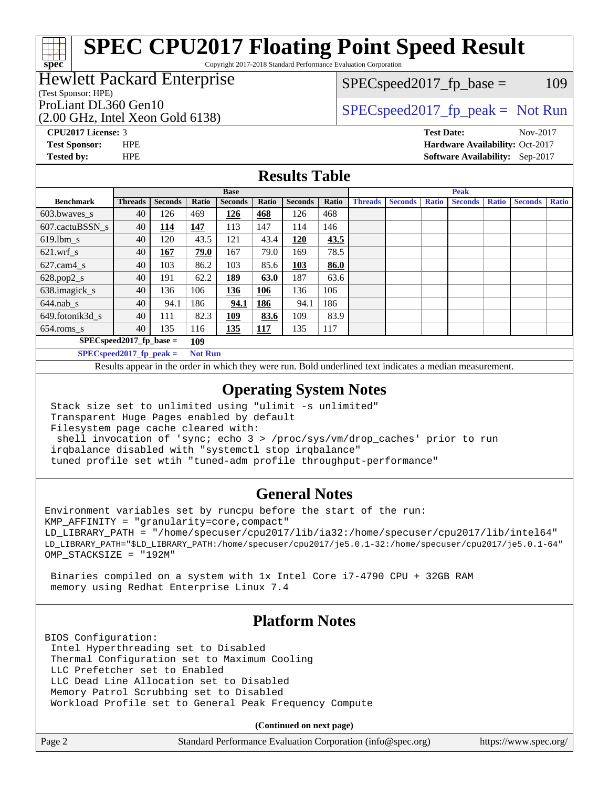Copyright 2017-2018 Standard Performance Evaluation Corporation

#### Hewlett Packard Enterprise

(Test Sponsor: HPE)

(2.00 GHz, Intel Xeon Gold 6138)

 $SPEC speed2017_fp\_base = 109$ 

# ProLiant DL360 Gen10  $SPEC speed2017$  [p\_peak = Not Run

**[CPU2017 License:](http://www.spec.org/auto/cpu2017/Docs/result-fields.html#CPU2017License)** 3 **[Test Date:](http://www.spec.org/auto/cpu2017/Docs/result-fields.html#TestDate)** Nov-2017 **[Test Sponsor:](http://www.spec.org/auto/cpu2017/Docs/result-fields.html#TestSponsor)** HPE **[Hardware Availability:](http://www.spec.org/auto/cpu2017/Docs/result-fields.html#HardwareAvailability)** Oct-2017 **[Tested by:](http://www.spec.org/auto/cpu2017/Docs/result-fields.html#Testedby)** HPE **[Software Availability:](http://www.spec.org/auto/cpu2017/Docs/result-fields.html#SoftwareAvailability)** Sep-2017

### **[Results Table](http://www.spec.org/auto/cpu2017/Docs/result-fields.html#ResultsTable)**

|                                              | <b>Base</b>    |                |       | <b>Peak</b>    |            |                |       |                |                |              |                |              |                |              |
|----------------------------------------------|----------------|----------------|-------|----------------|------------|----------------|-------|----------------|----------------|--------------|----------------|--------------|----------------|--------------|
| <b>Benchmark</b>                             | <b>Threads</b> | <b>Seconds</b> | Ratio | <b>Seconds</b> | Ratio      | <b>Seconds</b> | Ratio | <b>Threads</b> | <b>Seconds</b> | <b>Ratio</b> | <b>Seconds</b> | <b>Ratio</b> | <b>Seconds</b> | <b>Ratio</b> |
| 603.bwayes s                                 | 40             | 126            | 469   | 126            | 468        | 126            | 468   |                |                |              |                |              |                |              |
| 607.cactuBSSN s                              | 40             | <u>114</u>     | 147   | 113            | 147        | 114            | 146   |                |                |              |                |              |                |              |
| $619.1$ bm s                                 | 40             | 120            | 43.5  | 121            | 43.4       | 120            | 43.5  |                |                |              |                |              |                |              |
| $621.wrf$ s                                  | 40             | 167            | 79.0  | 167            | 79.0       | 169            | 78.5  |                |                |              |                |              |                |              |
| $627$ .cam $4$ <sub>s</sub>                  | 40             | 103            | 86.2  | 103            | 85.6       | 103            | 86.0  |                |                |              |                |              |                |              |
| $628.pop2_s$                                 | 40             | 191            | 62.2  | <u>189</u>     | 63.0       | 187            | 63.6  |                |                |              |                |              |                |              |
| 638.imagick_s                                | 40             | 136            | 106   | 136            | 106        | 136            | 106   |                |                |              |                |              |                |              |
| $644$ .nab s                                 | 40             | 94.1           | 186   | 94.1           | <u>186</u> | 94.1           | 186   |                |                |              |                |              |                |              |
| 649.fotonik3d s                              | 40             | 111            | 82.3  | <u> 109</u>    | 83.6       | 109            | 83.9  |                |                |              |                |              |                |              |
| $654$ .roms s                                | 40             | 135            | 116   | 135            | <b>117</b> | 135            | 117   |                |                |              |                |              |                |              |
| $SPEC speed2017$ fp base =<br>109            |                |                |       |                |            |                |       |                |                |              |                |              |                |              |
| $SPECspeed2017_fp\_peak =$<br><b>Not Run</b> |                |                |       |                |            |                |       |                |                |              |                |              |                |              |

Results appear in the [order in which they were run.](http://www.spec.org/auto/cpu2017/Docs/result-fields.html#RunOrder) Bold underlined text [indicates a median measurement](http://www.spec.org/auto/cpu2017/Docs/result-fields.html#Median).

#### **[Operating System Notes](http://www.spec.org/auto/cpu2017/Docs/result-fields.html#OperatingSystemNotes)**

 Stack size set to unlimited using "ulimit -s unlimited" Transparent Huge Pages enabled by default Filesystem page cache cleared with: shell invocation of 'sync; echo 3 > /proc/sys/vm/drop\_caches' prior to run irqbalance disabled with "systemctl stop irqbalance" tuned profile set wtih "tuned-adm profile throughput-performance"

#### **[General Notes](http://www.spec.org/auto/cpu2017/Docs/result-fields.html#GeneralNotes)**

Environment variables set by runcpu before the start of the run: KMP\_AFFINITY = "granularity=core,compact" LD\_LIBRARY\_PATH = "/home/specuser/cpu2017/lib/ia32:/home/specuser/cpu2017/lib/intel64" LD\_LIBRARY\_PATH="\$LD\_LIBRARY\_PATH:/home/specuser/cpu2017/je5.0.1-32:/home/specuser/cpu2017/je5.0.1-64" OMP\_STACKSIZE = "192M"

 Binaries compiled on a system with 1x Intel Core i7-4790 CPU + 32GB RAM memory using Redhat Enterprise Linux 7.4

### **[Platform Notes](http://www.spec.org/auto/cpu2017/Docs/result-fields.html#PlatformNotes)**

BIOS Configuration: Intel Hyperthreading set to Disabled Thermal Configuration set to Maximum Cooling LLC Prefetcher set to Enabled LLC Dead Line Allocation set to Disabled Memory Patrol Scrubbing set to Disabled Workload Profile set to General Peak Frequency Compute

**(Continued on next page)**

| Page 2<br>Standard Performance Evaluation Corporation (info@spec.org)<br>https://www.spec.org/ |
|------------------------------------------------------------------------------------------------|
|------------------------------------------------------------------------------------------------|

**[spec](http://www.spec.org/)**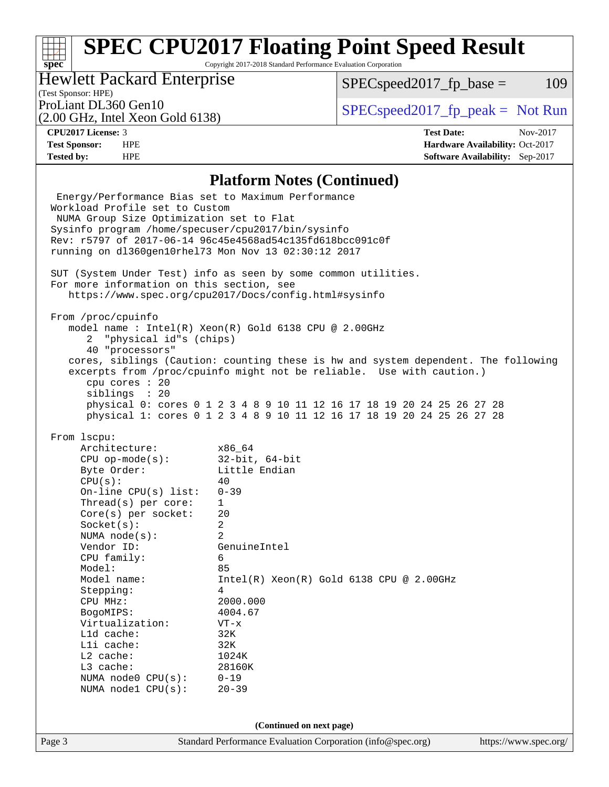Copyright 2017-2018 Standard Performance Evaluation Corporation

## Hewlett Packard Enterprise

 $SPEC speed2017_f p\_base = 109$ 

# (Test Sponsor: HPE)

(2.00 GHz, Intel Xeon Gold 6138)

ProLiant DL360 Gen10  $SPEC speed2017$  [p\_peak = Not Run

**[spec](http://www.spec.org/)**

**[CPU2017 License:](http://www.spec.org/auto/cpu2017/Docs/result-fields.html#CPU2017License)** 3 **[Test Date:](http://www.spec.org/auto/cpu2017/Docs/result-fields.html#TestDate)** Nov-2017 **[Test Sponsor:](http://www.spec.org/auto/cpu2017/Docs/result-fields.html#TestSponsor)** HPE **[Hardware Availability:](http://www.spec.org/auto/cpu2017/Docs/result-fields.html#HardwareAvailability)** Oct-2017 **[Tested by:](http://www.spec.org/auto/cpu2017/Docs/result-fields.html#Testedby)** HPE **[Software Availability:](http://www.spec.org/auto/cpu2017/Docs/result-fields.html#SoftwareAvailability)** Sep-2017

#### **[Platform Notes \(Continued\)](http://www.spec.org/auto/cpu2017/Docs/result-fields.html#PlatformNotes)**

Page 3 Standard Performance Evaluation Corporation [\(info@spec.org\)](mailto:info@spec.org) <https://www.spec.org/> Energy/Performance Bias set to Maximum Performance Workload Profile set to Custom NUMA Group Size Optimization set to Flat Sysinfo program /home/specuser/cpu2017/bin/sysinfo Rev: r5797 of 2017-06-14 96c45e4568ad54c135fd618bcc091c0f running on dl360gen10rhel73 Mon Nov 13 02:30:12 2017 SUT (System Under Test) info as seen by some common utilities. For more information on this section, see <https://www.spec.org/cpu2017/Docs/config.html#sysinfo> From /proc/cpuinfo model name : Intel(R) Xeon(R) Gold 6138 CPU @ 2.00GHz 2 "physical id"s (chips) 40 "processors" cores, siblings (Caution: counting these is hw and system dependent. The following excerpts from /proc/cpuinfo might not be reliable. Use with caution.) cpu cores : 20 siblings : 20 physical 0: cores 0 1 2 3 4 8 9 10 11 12 16 17 18 19 20 24 25 26 27 28 physical 1: cores 0 1 2 3 4 8 9 10 11 12 16 17 18 19 20 24 25 26 27 28 From lscpu: Architecture: x86\_64 CPU op-mode(s): 32-bit, 64-bit Byte Order: Little Endian  $CPU(s):$  40 On-line CPU(s) list: 0-39 Thread(s) per core: 1 Core(s) per socket: 20 Socket(s): 2 NUMA node(s): 2 Vendor ID: GenuineIntel CPU family: 6 Model: 85 Model name: Intel(R) Xeon(R) Gold 6138 CPU @ 2.00GHz Stepping: 4 CPU MHz: 2000.000 BogoMIPS: 4004.67 Virtualization: VT-x L1d cache: 32K L1i cache: 32K L2 cache: 1024K L3 cache: 28160K NUMA node0 CPU(s): 0-19 NUMA node1 CPU(s): 20-39 **(Continued on next page)**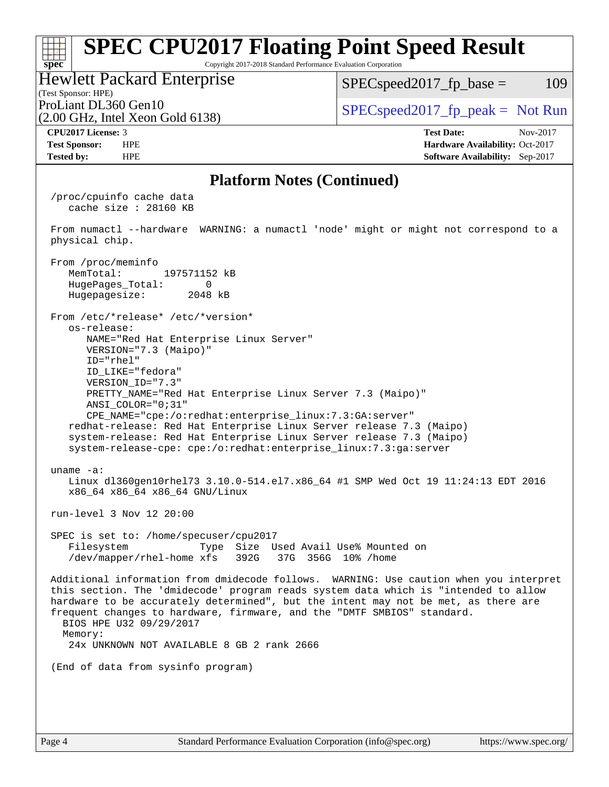#### **[spec](http://www.spec.org/) [SPEC CPU2017 Floating Point Speed Result](http://www.spec.org/auto/cpu2017/Docs/result-fields.html#SPECCPU2017FloatingPointSpeedResult)** Copyright 2017-2018 Standard Performance Evaluation Corporation (Test Sponsor: HPE) Hewlett Packard Enterprise (2.00 GHz, Intel Xeon Gold 6138) ProLiant DL360 Gen10  $SPEC speed2017$  [p\_peak = Not Run  $SPEC speed2017<sub>fp</sub> base =  $109$$ **[CPU2017 License:](http://www.spec.org/auto/cpu2017/Docs/result-fields.html#CPU2017License)** 3 **[Test Date:](http://www.spec.org/auto/cpu2017/Docs/result-fields.html#TestDate)** Nov-2017 **[Test Sponsor:](http://www.spec.org/auto/cpu2017/Docs/result-fields.html#TestSponsor)** HPE **[Hardware Availability:](http://www.spec.org/auto/cpu2017/Docs/result-fields.html#HardwareAvailability)** Oct-2017 **[Tested by:](http://www.spec.org/auto/cpu2017/Docs/result-fields.html#Testedby)** HPE **[Software Availability:](http://www.spec.org/auto/cpu2017/Docs/result-fields.html#SoftwareAvailability)** Sep-2017 **[Platform Notes \(Continued\)](http://www.spec.org/auto/cpu2017/Docs/result-fields.html#PlatformNotes)** /proc/cpuinfo cache data cache size : 28160 KB From numactl --hardware WARNING: a numactl 'node' might or might not correspond to a physical chip. From /proc/meminfo MemTotal: 197571152 kB HugePages\_Total: 0<br>Hugepagesize: 2048 kB Hugepagesize: From /etc/\*release\* /etc/\*version\* os-release: NAME="Red Hat Enterprise Linux Server" VERSION="7.3 (Maipo)" ID="rhel" ID\_LIKE="fedora" VERSION\_ID="7.3" PRETTY\_NAME="Red Hat Enterprise Linux Server 7.3 (Maipo)" ANSI\_COLOR="0;31" CPE\_NAME="cpe:/o:redhat:enterprise\_linux:7.3:GA:server" redhat-release: Red Hat Enterprise Linux Server release 7.3 (Maipo) system-release: Red Hat Enterprise Linux Server release 7.3 (Maipo) system-release-cpe: cpe:/o:redhat:enterprise\_linux:7.3:ga:server uname -a: Linux dl360gen10rhel73 3.10.0-514.el7.x86\_64 #1 SMP Wed Oct 19 11:24:13 EDT 2016 x86\_64 x86\_64 x86\_64 GNU/Linux run-level 3 Nov 12 20:00 SPEC is set to: /home/specuser/cpu2017 Filesystem Type Size Used Avail Use% Mounted on /dev/mapper/rhel-home xfs 392G 37G 356G 10% /home Additional information from dmidecode follows. WARNING: Use caution when you interpret this section. The 'dmidecode' program reads system data which is "intended to allow hardware to be accurately determined", but the intent may not be met, as there are frequent changes to hardware, firmware, and the "DMTF SMBIOS" standard. BIOS HPE U32 09/29/2017 Memory: 24x UNKNOWN NOT AVAILABLE 8 GB 2 rank 2666 (End of data from sysinfo program)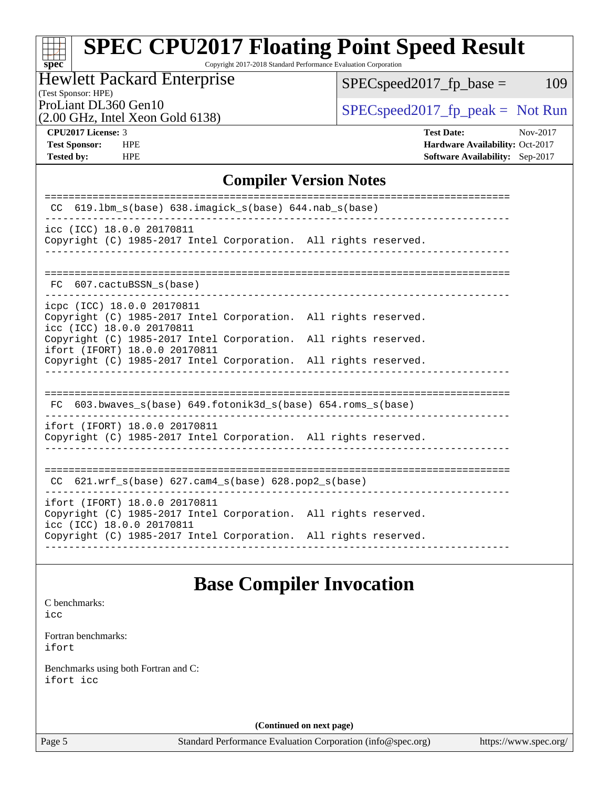Copyright 2017-2018 Standard Performance Evaluation Corporation

# Hewlett Packard Enterprise

 $SPEC speed2017_fp\_base = 109$ 

#### (Test Sponsor: HPE)

(2.00 GHz, Intel Xeon Gold 6138)

ProLiant DL360 Gen10<br>  $\begin{array}{r} \text{SPEC speed2017\_fp\_peak = Not Run} \\ \text{SPEC speed2017\_fp\_peak = Not Run} \end{array}$ 

**[spec](http://www.spec.org/)**

**[Tested by:](http://www.spec.org/auto/cpu2017/Docs/result-fields.html#Testedby)** HPE **[Software Availability:](http://www.spec.org/auto/cpu2017/Docs/result-fields.html#SoftwareAvailability)** Sep-2017

**[CPU2017 License:](http://www.spec.org/auto/cpu2017/Docs/result-fields.html#CPU2017License)** 3 **[Test Date:](http://www.spec.org/auto/cpu2017/Docs/result-fields.html#TestDate)** Nov-2017 **[Test Sponsor:](http://www.spec.org/auto/cpu2017/Docs/result-fields.html#TestSponsor)** HPE **[Hardware Availability:](http://www.spec.org/auto/cpu2017/Docs/result-fields.html#HardwareAvailability)** Oct-2017

## **[Compiler Version Notes](http://www.spec.org/auto/cpu2017/Docs/result-fields.html#CompilerVersionNotes)**

| 619.1bm_s(base) 638.imagick_s(base) 644.nab_s(base)<br><sub>CC</sub>                                                                                                                          |  |  |  |  |  |
|-----------------------------------------------------------------------------------------------------------------------------------------------------------------------------------------------|--|--|--|--|--|
| icc (ICC) 18.0.0 20170811<br>Copyright (C) 1985-2017 Intel Corporation. All rights reserved.                                                                                                  |  |  |  |  |  |
| FC 607.cactuBSSN s(base)                                                                                                                                                                      |  |  |  |  |  |
| icpc (ICC) 18.0.0 20170811<br>Copyright (C) 1985-2017 Intel Corporation. All rights reserved.<br>icc (ICC) 18.0.0 20170811<br>Copyright (C) 1985-2017 Intel Corporation. All rights reserved. |  |  |  |  |  |
| ifort (IFORT) 18.0.0 20170811<br>Copyright (C) 1985-2017 Intel Corporation. All rights reserved.                                                                                              |  |  |  |  |  |
| FC $603.bwaves$ s(base) $649.fotonik3d$ s(base) $654.roms$ s(base)                                                                                                                            |  |  |  |  |  |
| ifort (IFORT) 18.0.0 20170811<br>Copyright (C) 1985-2017 Intel Corporation. All rights reserved.                                                                                              |  |  |  |  |  |
| ---------------------------------<br>CC $621.$ wrf $s(base)$ $627.$ cam4 $s(base)$ $628.$ pop2 $s(base)$                                                                                      |  |  |  |  |  |
| ifort (IFORT) 18.0.0 20170811<br>Copyright (C) 1985-2017 Intel Corporation. All rights reserved.<br>icc (ICC) 18.0.0 20170811                                                                 |  |  |  |  |  |
| Copyright (C) 1985-2017 Intel Corporation. All rights reserved.                                                                                                                               |  |  |  |  |  |

# **[Base Compiler Invocation](http://www.spec.org/auto/cpu2017/Docs/result-fields.html#BaseCompilerInvocation)**

[C benchmarks](http://www.spec.org/auto/cpu2017/Docs/result-fields.html#Cbenchmarks): [icc](http://www.spec.org/cpu2017/results/res2017q4/cpu2017-20171114-00809.flags.html#user_CCbase_intel_icc_18.0_66fc1ee009f7361af1fbd72ca7dcefbb700085f36577c54f309893dd4ec40d12360134090235512931783d35fd58c0460139e722d5067c5574d8eaf2b3e37e92)

[Fortran benchmarks](http://www.spec.org/auto/cpu2017/Docs/result-fields.html#Fortranbenchmarks): [ifort](http://www.spec.org/cpu2017/results/res2017q4/cpu2017-20171114-00809.flags.html#user_FCbase_intel_ifort_18.0_8111460550e3ca792625aed983ce982f94888b8b503583aa7ba2b8303487b4d8a21a13e7191a45c5fd58ff318f48f9492884d4413fa793fd88dd292cad7027ca)

[Benchmarks using both Fortran and C](http://www.spec.org/auto/cpu2017/Docs/result-fields.html#BenchmarksusingbothFortranandC): [ifort](http://www.spec.org/cpu2017/results/res2017q4/cpu2017-20171114-00809.flags.html#user_CC_FCbase_intel_ifort_18.0_8111460550e3ca792625aed983ce982f94888b8b503583aa7ba2b8303487b4d8a21a13e7191a45c5fd58ff318f48f9492884d4413fa793fd88dd292cad7027ca) [icc](http://www.spec.org/cpu2017/results/res2017q4/cpu2017-20171114-00809.flags.html#user_CC_FCbase_intel_icc_18.0_66fc1ee009f7361af1fbd72ca7dcefbb700085f36577c54f309893dd4ec40d12360134090235512931783d35fd58c0460139e722d5067c5574d8eaf2b3e37e92)

**(Continued on next page)**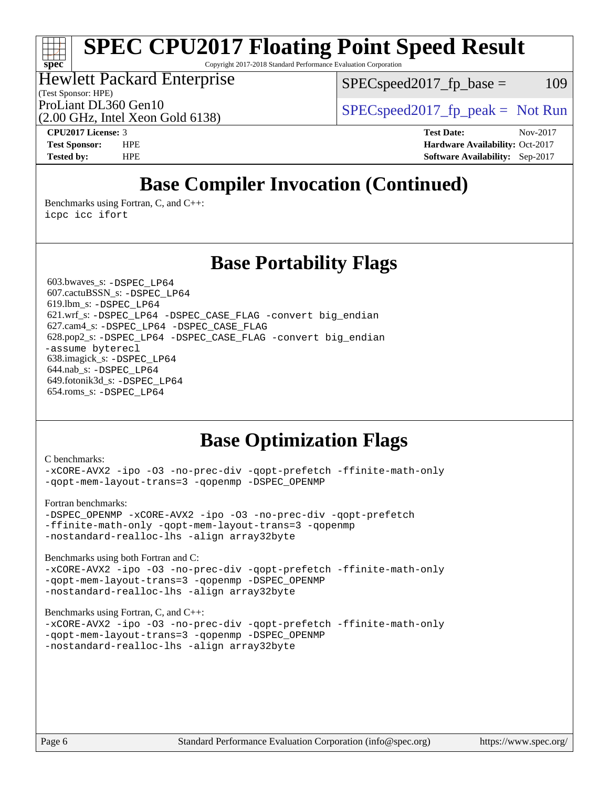Copyright 2017-2018 Standard Performance Evaluation Corporation

## Hewlett Packard Enterprise

(Test Sponsor: HPE)

 $SPEC speed2017_fp\_base = 109$ 

(2.00 GHz, Intel Xeon Gold 6138)

ProLiant DL360 Gen10  $SPEC speed2017$  [p\_peak = Not Run

**[spec](http://www.spec.org/)**

**[CPU2017 License:](http://www.spec.org/auto/cpu2017/Docs/result-fields.html#CPU2017License)** 3 **[Test Date:](http://www.spec.org/auto/cpu2017/Docs/result-fields.html#TestDate)** Nov-2017 **[Test Sponsor:](http://www.spec.org/auto/cpu2017/Docs/result-fields.html#TestSponsor)** HPE **[Hardware Availability:](http://www.spec.org/auto/cpu2017/Docs/result-fields.html#HardwareAvailability)** Oct-2017 **[Tested by:](http://www.spec.org/auto/cpu2017/Docs/result-fields.html#Testedby)** HPE **[Software Availability:](http://www.spec.org/auto/cpu2017/Docs/result-fields.html#SoftwareAvailability)** Sep-2017

# **[Base Compiler Invocation \(Continued\)](http://www.spec.org/auto/cpu2017/Docs/result-fields.html#BaseCompilerInvocation)**

[Benchmarks using Fortran, C, and C++:](http://www.spec.org/auto/cpu2017/Docs/result-fields.html#BenchmarksusingFortranCandCXX) [icpc](http://www.spec.org/cpu2017/results/res2017q4/cpu2017-20171114-00809.flags.html#user_CC_CXX_FCbase_intel_icpc_18.0_c510b6838c7f56d33e37e94d029a35b4a7bccf4766a728ee175e80a419847e808290a9b78be685c44ab727ea267ec2f070ec5dc83b407c0218cded6866a35d07) [icc](http://www.spec.org/cpu2017/results/res2017q4/cpu2017-20171114-00809.flags.html#user_CC_CXX_FCbase_intel_icc_18.0_66fc1ee009f7361af1fbd72ca7dcefbb700085f36577c54f309893dd4ec40d12360134090235512931783d35fd58c0460139e722d5067c5574d8eaf2b3e37e92) [ifort](http://www.spec.org/cpu2017/results/res2017q4/cpu2017-20171114-00809.flags.html#user_CC_CXX_FCbase_intel_ifort_18.0_8111460550e3ca792625aed983ce982f94888b8b503583aa7ba2b8303487b4d8a21a13e7191a45c5fd58ff318f48f9492884d4413fa793fd88dd292cad7027ca)

## **[Base Portability Flags](http://www.spec.org/auto/cpu2017/Docs/result-fields.html#BasePortabilityFlags)**

 603.bwaves\_s: [-DSPEC\\_LP64](http://www.spec.org/cpu2017/results/res2017q4/cpu2017-20171114-00809.flags.html#suite_basePORTABILITY603_bwaves_s_DSPEC_LP64) 607.cactuBSSN\_s: [-DSPEC\\_LP64](http://www.spec.org/cpu2017/results/res2017q4/cpu2017-20171114-00809.flags.html#suite_basePORTABILITY607_cactuBSSN_s_DSPEC_LP64) 619.lbm\_s: [-DSPEC\\_LP64](http://www.spec.org/cpu2017/results/res2017q4/cpu2017-20171114-00809.flags.html#suite_basePORTABILITY619_lbm_s_DSPEC_LP64) 621.wrf\_s: [-DSPEC\\_LP64](http://www.spec.org/cpu2017/results/res2017q4/cpu2017-20171114-00809.flags.html#suite_basePORTABILITY621_wrf_s_DSPEC_LP64) [-DSPEC\\_CASE\\_FLAG](http://www.spec.org/cpu2017/results/res2017q4/cpu2017-20171114-00809.flags.html#b621.wrf_s_baseCPORTABILITY_DSPEC_CASE_FLAG) [-convert big\\_endian](http://www.spec.org/cpu2017/results/res2017q4/cpu2017-20171114-00809.flags.html#user_baseFPORTABILITY621_wrf_s_convert_big_endian_c3194028bc08c63ac5d04de18c48ce6d347e4e562e8892b8bdbdc0214820426deb8554edfa529a3fb25a586e65a3d812c835984020483e7e73212c4d31a38223) 627.cam4\_s: [-DSPEC\\_LP64](http://www.spec.org/cpu2017/results/res2017q4/cpu2017-20171114-00809.flags.html#suite_basePORTABILITY627_cam4_s_DSPEC_LP64) [-DSPEC\\_CASE\\_FLAG](http://www.spec.org/cpu2017/results/res2017q4/cpu2017-20171114-00809.flags.html#b627.cam4_s_baseCPORTABILITY_DSPEC_CASE_FLAG) 628.pop2\_s: [-DSPEC\\_LP64](http://www.spec.org/cpu2017/results/res2017q4/cpu2017-20171114-00809.flags.html#suite_basePORTABILITY628_pop2_s_DSPEC_LP64) [-DSPEC\\_CASE\\_FLAG](http://www.spec.org/cpu2017/results/res2017q4/cpu2017-20171114-00809.flags.html#b628.pop2_s_baseCPORTABILITY_DSPEC_CASE_FLAG) [-convert big\\_endian](http://www.spec.org/cpu2017/results/res2017q4/cpu2017-20171114-00809.flags.html#user_baseFPORTABILITY628_pop2_s_convert_big_endian_c3194028bc08c63ac5d04de18c48ce6d347e4e562e8892b8bdbdc0214820426deb8554edfa529a3fb25a586e65a3d812c835984020483e7e73212c4d31a38223) [-assume byterecl](http://www.spec.org/cpu2017/results/res2017q4/cpu2017-20171114-00809.flags.html#user_baseFPORTABILITY628_pop2_s_assume_byterecl_7e47d18b9513cf18525430bbf0f2177aa9bf368bc7a059c09b2c06a34b53bd3447c950d3f8d6c70e3faf3a05c8557d66a5798b567902e8849adc142926523472) 638.imagick\_s: [-DSPEC\\_LP64](http://www.spec.org/cpu2017/results/res2017q4/cpu2017-20171114-00809.flags.html#suite_basePORTABILITY638_imagick_s_DSPEC_LP64) 644.nab\_s: [-DSPEC\\_LP64](http://www.spec.org/cpu2017/results/res2017q4/cpu2017-20171114-00809.flags.html#suite_basePORTABILITY644_nab_s_DSPEC_LP64) 649.fotonik3d\_s: [-DSPEC\\_LP64](http://www.spec.org/cpu2017/results/res2017q4/cpu2017-20171114-00809.flags.html#suite_basePORTABILITY649_fotonik3d_s_DSPEC_LP64) 654.roms\_s: [-DSPEC\\_LP64](http://www.spec.org/cpu2017/results/res2017q4/cpu2017-20171114-00809.flags.html#suite_basePORTABILITY654_roms_s_DSPEC_LP64)

# **[Base Optimization Flags](http://www.spec.org/auto/cpu2017/Docs/result-fields.html#BaseOptimizationFlags)**

#### [C benchmarks](http://www.spec.org/auto/cpu2017/Docs/result-fields.html#Cbenchmarks):

[-xCORE-AVX2](http://www.spec.org/cpu2017/results/res2017q4/cpu2017-20171114-00809.flags.html#user_CCbase_f-xCORE-AVX2) [-ipo](http://www.spec.org/cpu2017/results/res2017q4/cpu2017-20171114-00809.flags.html#user_CCbase_f-ipo) [-O3](http://www.spec.org/cpu2017/results/res2017q4/cpu2017-20171114-00809.flags.html#user_CCbase_f-O3) [-no-prec-div](http://www.spec.org/cpu2017/results/res2017q4/cpu2017-20171114-00809.flags.html#user_CCbase_f-no-prec-div) [-qopt-prefetch](http://www.spec.org/cpu2017/results/res2017q4/cpu2017-20171114-00809.flags.html#user_CCbase_f-qopt-prefetch) [-ffinite-math-only](http://www.spec.org/cpu2017/results/res2017q4/cpu2017-20171114-00809.flags.html#user_CCbase_f_finite_math_only_cb91587bd2077682c4b38af759c288ed7c732db004271a9512da14a4f8007909a5f1427ecbf1a0fb78ff2a814402c6114ac565ca162485bbcae155b5e4258871) [-qopt-mem-layout-trans=3](http://www.spec.org/cpu2017/results/res2017q4/cpu2017-20171114-00809.flags.html#user_CCbase_f-qopt-mem-layout-trans_de80db37974c74b1f0e20d883f0b675c88c3b01e9d123adea9b28688d64333345fb62bc4a798493513fdb68f60282f9a726aa07f478b2f7113531aecce732043) [-qopenmp](http://www.spec.org/cpu2017/results/res2017q4/cpu2017-20171114-00809.flags.html#user_CCbase_qopenmp_16be0c44f24f464004c6784a7acb94aca937f053568ce72f94b139a11c7c168634a55f6653758ddd83bcf7b8463e8028bb0b48b77bcddc6b78d5d95bb1df2967) [-DSPEC\\_OPENMP](http://www.spec.org/cpu2017/results/res2017q4/cpu2017-20171114-00809.flags.html#suite_CCbase_DSPEC_OPENMP)

#### [Fortran benchmarks](http://www.spec.org/auto/cpu2017/Docs/result-fields.html#Fortranbenchmarks):

[-DSPEC\\_OPENMP](http://www.spec.org/cpu2017/results/res2017q4/cpu2017-20171114-00809.flags.html#suite_FCbase_DSPEC_OPENMP) [-xCORE-AVX2](http://www.spec.org/cpu2017/results/res2017q4/cpu2017-20171114-00809.flags.html#user_FCbase_f-xCORE-AVX2) [-ipo](http://www.spec.org/cpu2017/results/res2017q4/cpu2017-20171114-00809.flags.html#user_FCbase_f-ipo) [-O3](http://www.spec.org/cpu2017/results/res2017q4/cpu2017-20171114-00809.flags.html#user_FCbase_f-O3) [-no-prec-div](http://www.spec.org/cpu2017/results/res2017q4/cpu2017-20171114-00809.flags.html#user_FCbase_f-no-prec-div) [-qopt-prefetch](http://www.spec.org/cpu2017/results/res2017q4/cpu2017-20171114-00809.flags.html#user_FCbase_f-qopt-prefetch) [-ffinite-math-only](http://www.spec.org/cpu2017/results/res2017q4/cpu2017-20171114-00809.flags.html#user_FCbase_f_finite_math_only_cb91587bd2077682c4b38af759c288ed7c732db004271a9512da14a4f8007909a5f1427ecbf1a0fb78ff2a814402c6114ac565ca162485bbcae155b5e4258871) [-qopt-mem-layout-trans=3](http://www.spec.org/cpu2017/results/res2017q4/cpu2017-20171114-00809.flags.html#user_FCbase_f-qopt-mem-layout-trans_de80db37974c74b1f0e20d883f0b675c88c3b01e9d123adea9b28688d64333345fb62bc4a798493513fdb68f60282f9a726aa07f478b2f7113531aecce732043) [-qopenmp](http://www.spec.org/cpu2017/results/res2017q4/cpu2017-20171114-00809.flags.html#user_FCbase_qopenmp_16be0c44f24f464004c6784a7acb94aca937f053568ce72f94b139a11c7c168634a55f6653758ddd83bcf7b8463e8028bb0b48b77bcddc6b78d5d95bb1df2967) [-nostandard-realloc-lhs](http://www.spec.org/cpu2017/results/res2017q4/cpu2017-20171114-00809.flags.html#user_FCbase_f_2003_std_realloc_82b4557e90729c0f113870c07e44d33d6f5a304b4f63d4c15d2d0f1fab99f5daaed73bdb9275d9ae411527f28b936061aa8b9c8f2d63842963b95c9dd6426b8a) [-align array32byte](http://www.spec.org/cpu2017/results/res2017q4/cpu2017-20171114-00809.flags.html#user_FCbase_align_array32byte_b982fe038af199962ba9a80c053b8342c548c85b40b8e86eb3cc33dee0d7986a4af373ac2d51c3f7cf710a18d62fdce2948f201cd044323541f22fc0fffc51b6)

[Benchmarks using both Fortran and C](http://www.spec.org/auto/cpu2017/Docs/result-fields.html#BenchmarksusingbothFortranandC):

[-xCORE-AVX2](http://www.spec.org/cpu2017/results/res2017q4/cpu2017-20171114-00809.flags.html#user_CC_FCbase_f-xCORE-AVX2) [-ipo](http://www.spec.org/cpu2017/results/res2017q4/cpu2017-20171114-00809.flags.html#user_CC_FCbase_f-ipo) [-O3](http://www.spec.org/cpu2017/results/res2017q4/cpu2017-20171114-00809.flags.html#user_CC_FCbase_f-O3) [-no-prec-div](http://www.spec.org/cpu2017/results/res2017q4/cpu2017-20171114-00809.flags.html#user_CC_FCbase_f-no-prec-div) [-qopt-prefetch](http://www.spec.org/cpu2017/results/res2017q4/cpu2017-20171114-00809.flags.html#user_CC_FCbase_f-qopt-prefetch) [-ffinite-math-only](http://www.spec.org/cpu2017/results/res2017q4/cpu2017-20171114-00809.flags.html#user_CC_FCbase_f_finite_math_only_cb91587bd2077682c4b38af759c288ed7c732db004271a9512da14a4f8007909a5f1427ecbf1a0fb78ff2a814402c6114ac565ca162485bbcae155b5e4258871) [-qopt-mem-layout-trans=3](http://www.spec.org/cpu2017/results/res2017q4/cpu2017-20171114-00809.flags.html#user_CC_FCbase_f-qopt-mem-layout-trans_de80db37974c74b1f0e20d883f0b675c88c3b01e9d123adea9b28688d64333345fb62bc4a798493513fdb68f60282f9a726aa07f478b2f7113531aecce732043) [-qopenmp](http://www.spec.org/cpu2017/results/res2017q4/cpu2017-20171114-00809.flags.html#user_CC_FCbase_qopenmp_16be0c44f24f464004c6784a7acb94aca937f053568ce72f94b139a11c7c168634a55f6653758ddd83bcf7b8463e8028bb0b48b77bcddc6b78d5d95bb1df2967) [-DSPEC\\_OPENMP](http://www.spec.org/cpu2017/results/res2017q4/cpu2017-20171114-00809.flags.html#suite_CC_FCbase_DSPEC_OPENMP) [-nostandard-realloc-lhs](http://www.spec.org/cpu2017/results/res2017q4/cpu2017-20171114-00809.flags.html#user_CC_FCbase_f_2003_std_realloc_82b4557e90729c0f113870c07e44d33d6f5a304b4f63d4c15d2d0f1fab99f5daaed73bdb9275d9ae411527f28b936061aa8b9c8f2d63842963b95c9dd6426b8a) [-align array32byte](http://www.spec.org/cpu2017/results/res2017q4/cpu2017-20171114-00809.flags.html#user_CC_FCbase_align_array32byte_b982fe038af199962ba9a80c053b8342c548c85b40b8e86eb3cc33dee0d7986a4af373ac2d51c3f7cf710a18d62fdce2948f201cd044323541f22fc0fffc51b6)

[Benchmarks using Fortran, C, and C++:](http://www.spec.org/auto/cpu2017/Docs/result-fields.html#BenchmarksusingFortranCandCXX)

```
-xCORE-AVX2 -ipo -O3 -no-prec-div -qopt-prefetch -ffinite-math-only
-qopt-mem-layout-trans=3 -qopenmp -DSPEC_OPENMP
-nostandard-realloc-lhs -align array32byte
```